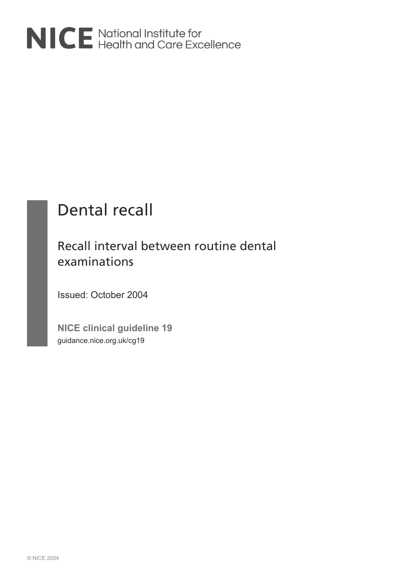

# Dental recall

Recall interval between routine dental examinations

Issued: October 2004

**NICE clinical guideline 19** guidance.nice.org.uk/cg19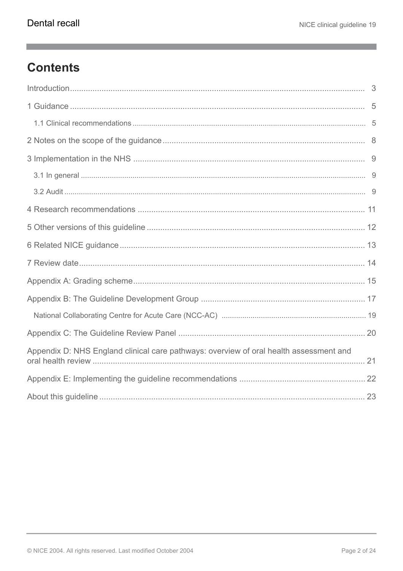$\mathcal{L}^{\mathcal{L}}$ 

### **Contents**

| Appendix D: NHS England clinical care pathways: overview of oral health assessment and |  |
|----------------------------------------------------------------------------------------|--|
|                                                                                        |  |
|                                                                                        |  |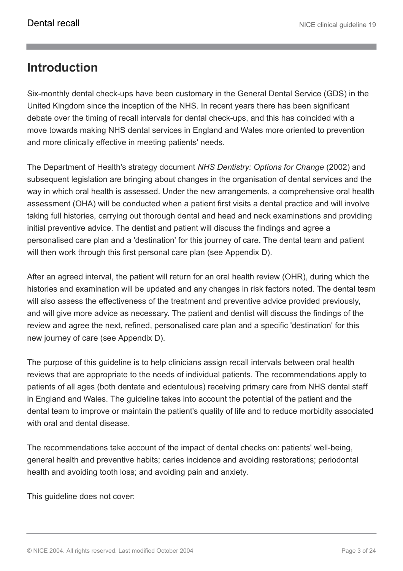### <span id="page-2-0"></span>**Introduction**

Six-monthly dental check-ups have been customary in the General Dental Service (GDS) in the United Kingdom since the inception of the NHS. In recent years there has been significant debate over the timing of recall intervals for dental check-ups, and this has coincided with a move towards making NHS dental services in England and Wales more oriented to prevention and more clinically effective in meeting patients' needs.

The Department of Health's strategy document *NHS Dentistry: Options for Change* (2002) and subsequent legislation are bringing about changes in the organisation of dental services and the way in which oral health is assessed. Under the new arrangements, a comprehensive oral health assessment (OHA) will be conducted when a patient first visits a dental practice and will involve taking full histories, carrying out thorough dental and head and neck examinations and providing initial preventive advice. The dentist and patient will discuss the findings and agree a personalised care plan and a 'destination' for this journey of care. The dental team and patient will then work through this first personal care plan (see Appendix D).

After an agreed interval, the patient will return for an oral health review (OHR), during which the histories and examination will be updated and any changes in risk factors noted. The dental team will also assess the effectiveness of the treatment and preventive advice provided previously, and will give more advice as necessary. The patient and dentist will discuss the findings of the review and agree the next, refined, personalised care plan and a specific 'destination' for this new journey of care (see Appendix D).

The purpose of this guideline is to help clinicians assign recall intervals between oral health reviews that are appropriate to the needs of individual patients. The recommendations apply to patients of all ages (both dentate and edentulous) receiving primary care from NHS dental staff in England and Wales. The guideline takes into account the potential of the patient and the dental team to improve or maintain the patient's quality of life and to reduce morbidity associated with oral and dental disease.

The recommendations take account of the impact of dental checks on: patients' well-being, general health and preventive habits; caries incidence and avoiding restorations; periodontal health and avoiding tooth loss; and avoiding pain and anxiety.

This guideline does not cover: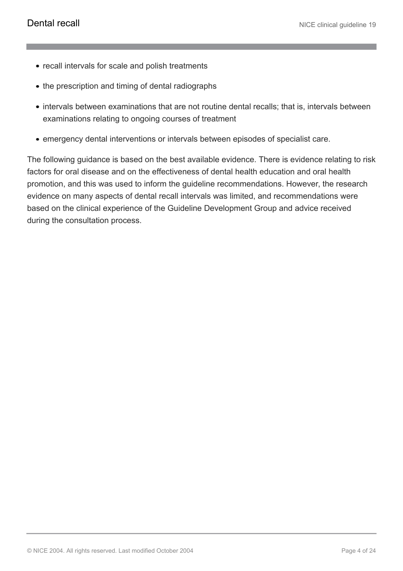- recall intervals for scale and polish treatments
- the prescription and timing of dental radiographs
- intervals between examinations that are not routine dental recalls; that is, intervals between examinations relating to ongoing courses of treatment
- emergency dental interventions or intervals between episodes of specialist care.

The following guidance is based on the best available evidence. There is evidence relating to risk factors for oral disease and on the effectiveness of dental health education and oral health promotion, and this was used to inform the guideline recommendations. However, the research evidence on many aspects of dental recall intervals was limited, and recommendations were based on the clinical experience of the Guideline Development Group and advice received during the consultation process.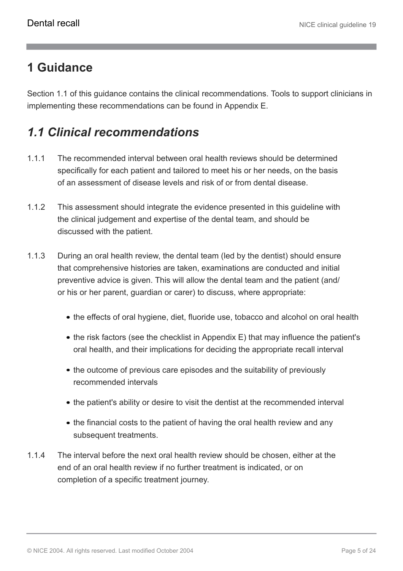### <span id="page-4-0"></span>**1 Guidance**

Section 1.1 of this guidance contains the clinical recommendations. Tools to support clinicians in implementing these recommendations can be found in Appendix E.

## <span id="page-4-1"></span>*1.1 Clinical recommendations*

- 1.1.1 The recommended interval between oral health reviews should be determined specifically for each patient and tailored to meet his or her needs, on the basis of an assessment of disease levels and risk of or from dental disease.
- 1.1.2 This assessment should integrate the evidence presented in this guideline with the clinical judgement and expertise of the dental team, and should be discussed with the patient.
- 1.1.3 During an oral health review, the dental team (led by the dentist) should ensure that comprehensive histories are taken, examinations are conducted and initial preventive advice is given. This will allow the dental team and the patient (and/ or his or her parent, guardian or carer) to discuss, where appropriate:
	- the effects of oral hygiene, diet, fluoride use, tobacco and alcohol on oral health
	- $\bullet$  the risk factors (see the checklist in Appendix E) that may influence the patient's oral health, and their implications for deciding the appropriate recall interval
	- the outcome of previous care episodes and the suitability of previously recommended intervals
	- the patient's ability or desire to visit the dentist at the recommended interval
	- the financial costs to the patient of having the oral health review and any subsequent treatments.
- 1.1.4 The interval before the next oral health review should be chosen, either at the end of an oral health review if no further treatment is indicated, or on completion of a specific treatment journey.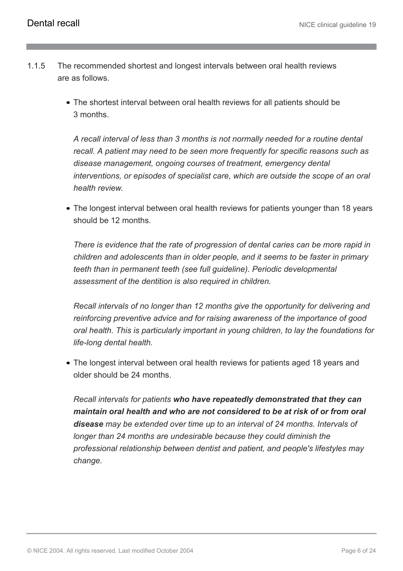- 1.1.5 The recommended shortest and longest intervals between oral health reviews are as follows.
	- The shortest interval between oral health reviews for all patients should be 3 months.

*A recall interval of less than 3 months is not normally needed for a routine dental recall. A patient may need to be seen more frequently for specific reasons such as disease management, ongoing courses of treatment, emergency dental interventions, or episodes of specialist care, which are outside the scope of an oral health review.*

The longest interval between oral health reviews for patients younger than 18 years should be 12 months.

*There is evidence that the rate of progression of dental caries can be more rapid in children and adolescents than in older people, and it seems to be faster in primary teeth than in permanent teeth (see full guideline). Periodic developmental assessment of the dentition is also required in children.*

*Recall intervals of no longer than 12 months give the opportunity for delivering and reinforcing preventive advice and for raising awareness of the importance of good oral health. This is particularly important in young children, to lay the foundations for life-long dental health.*

The longest interval between oral health reviews for patients aged 18 years and older should be 24 months.

*Recall intervals for patients who have repeatedly demonstrated that they can maintain oral health and who are not considered to be at risk of or from oral disease may be extended over time up to an interval of 24 months. Intervals of longer than 24 months are undesirable because they could diminish the professional relationship between dentist and patient, and people's lifestyles may change.*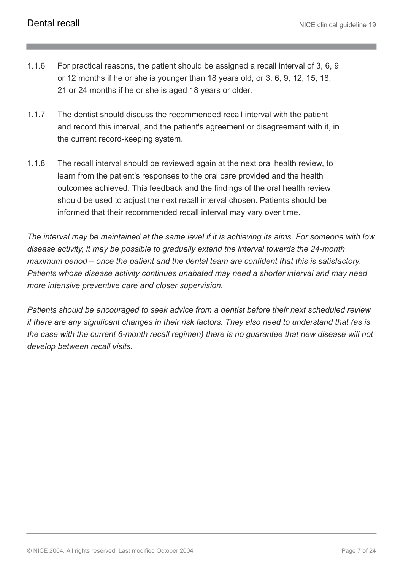- 1.1.6 For practical reasons, the patient should be assigned a recall interval of 3, 6, 9 or 12 months if he or she is younger than 18 years old, or 3, 6, 9, 12, 15, 18, 21 or 24 months if he or she is aged 18 years or older.
- 1.1.7 The dentist should discuss the recommended recall interval with the patient and record this interval, and the patient's agreement or disagreement with it, in the current record-keeping system.
- 1.1.8 The recall interval should be reviewed again at the next oral health review, to learn from the patient's responses to the oral care provided and the health outcomes achieved. This feedback and the findings of the oral health review should be used to adjust the next recall interval chosen. Patients should be informed that their recommended recall interval may vary over time.

*The interval may be maintained at the same level if it is achieving its aims. For someone with low disease activity, it may be possible to gradually extend the interval towards the 24-month maximum period – once the patient and the dental team are confident that this is satisfactory. Patients whose disease activity continues unabated may need a shorter interval and may need more intensive preventive care and closer supervision.*

*Patients should be encouraged to seek advice from a dentist before their next scheduled review if there are any significant changes in their risk factors. They also need to understand that (as is the case with the current 6-month recall regimen) there is no guarantee that new disease will not develop between recall visits.*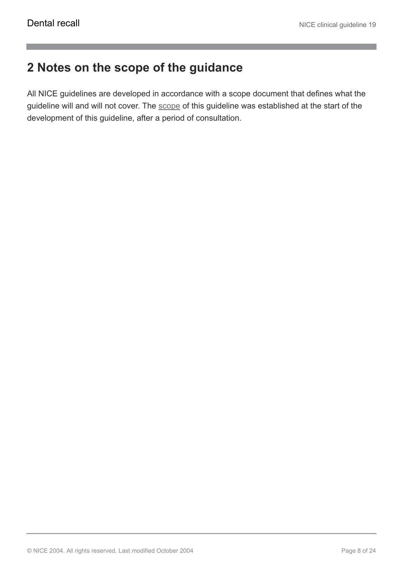### <span id="page-7-0"></span>**2 Notes on the scope of the guidance**

All NICE guidelines are developed in accordance with a scope document that defines what the guideline will and will not cover. The [scope](http://www.nice.org.uk/Docref.asp?d=84419) of this guideline was established at the start of the development of this guideline, after a period of consultation.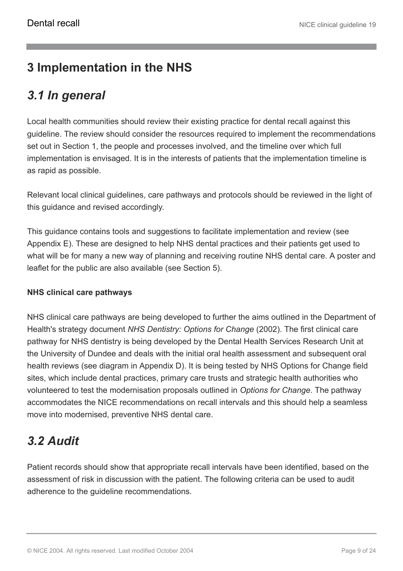### <span id="page-8-0"></span>**3 Implementation in the NHS**

### <span id="page-8-1"></span>*3.1 In general*

Local health communities should review their existing practice for dental recall against this guideline. The review should consider the resources required to implement the recommendations set out in Section 1, the people and processes involved, and the timeline over which full implementation is envisaged. It is in the interests of patients that the implementation timeline is as rapid as possible.

Relevant local clinical guidelines, care pathways and protocols should be reviewed in the light of this guidance and revised accordingly.

This guidance contains tools and suggestions to facilitate implementation and review (see Appendix E). These are designed to help NHS dental practices and their patients get used to what will be for many a new way of planning and receiving routine NHS dental care. A poster and leaflet for the public are also available (see Section 5).

#### **NHS clinical care pathways**

NHS clinical care pathways are being developed to further the aims outlined in the Department of Health's strategy document *NHS Dentistry: Options for Change* (2002). The first clinical care pathway for NHS dentistry is being developed by the Dental Health Services Research Unit at the University of Dundee and deals with the initial oral health assessment and subsequent oral health reviews (see diagram in Appendix D). It is being tested by NHS Options for Change field sites, which include dental practices, primary care trusts and strategic health authorities who volunteered to test the modernisation proposals outlined in *Options for Change*. The pathway accommodates the NICE recommendations on recall intervals and this should help a seamless move into modernised, preventive NHS dental care.

### <span id="page-8-2"></span>*3.2 Audit*

Patient records should show that appropriate recall intervals have been identified, based on the assessment of risk in discussion with the patient. The following criteria can be used to audit adherence to the guideline recommendations*.*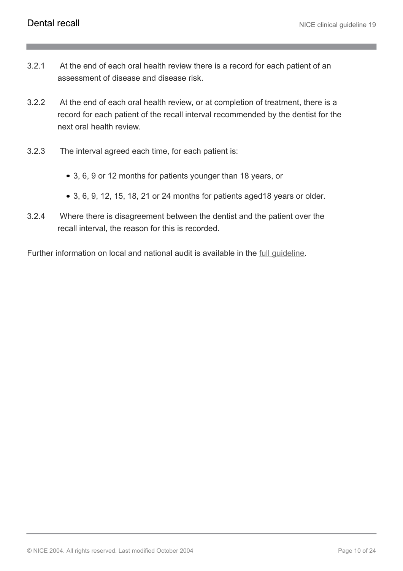- 3.2.1 At the end of each oral health review there is a record for each patient of an assessment of disease and disease risk.
- 3.2.2 At the end of each oral health review, or at completion of treatment, there is a record for each patient of the recall interval recommended by the dentist for the next oral health review.
- 3.2.3 The interval agreed each time, for each patient is:
	- 3, 6, 9 or 12 months for patients younger than 18 years, or
	- 3, 6, 9, 12, 15, 18, 21 or 24 months for patients aged18 years or older.
- 3.2.4 Where there is disagreement between the dentist and the patient over the recall interval, the reason for this is recorded.

Further information on local and national audit is available in the [full guideline.](http://guidance.nice.org.uk/CG19/Guidance/pdf/English)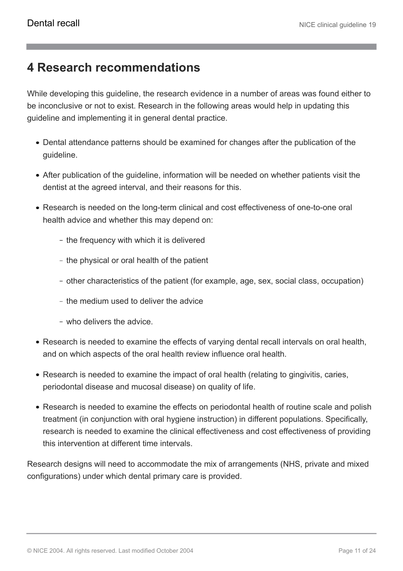### <span id="page-10-0"></span>**4 Research recommendations**

While developing this guideline, the research evidence in a number of areas was found either to be inconclusive or not to exist. Research in the following areas would help in updating this guideline and implementing it in general dental practice.

- Dental attendance patterns should be examined for changes after the publication of the guideline.
- After publication of the guideline, information will be needed on whether patients visit the dentist at the agreed interval, and their reasons for this.
- Research is needed on the long-term clinical and cost effectiveness of one-to-one oral health advice and whether this may depend on:
	- the frequency with which it is delivered
	- the physical or oral health of the patient
	- other characteristics of the patient (for example, age, sex, social class, occupation)
	- the medium used to deliver the advice
	- who delivers the advice.
- Research is needed to examine the effects of varying dental recall intervals on oral health, and on which aspects of the oral health review influence oral health.
- Research is needed to examine the impact of oral health (relating to gingivitis, caries, periodontal disease and mucosal disease) on quality of life.
- Research is needed to examine the effects on periodontal health of routine scale and polish treatment (in conjunction with oral hygiene instruction) in different populations. Specifically, research is needed to examine the clinical effectiveness and cost effectiveness of providing this intervention at different time intervals.

Research designs will need to accommodate the mix of arrangements (NHS, private and mixed configurations) under which dental primary care is provided.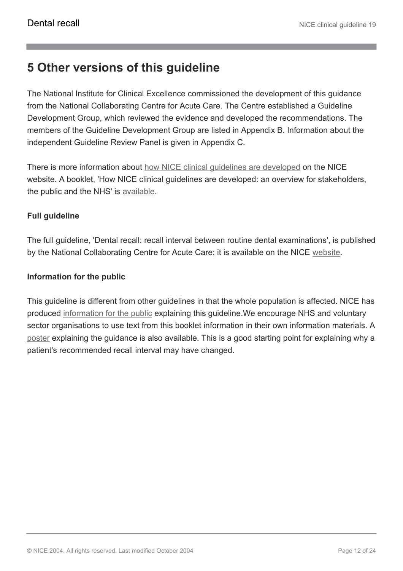### <span id="page-11-0"></span>**5 Other versions of this guideline**

The National Institute for Clinical Excellence commissioned the development of this guidance from the National Collaborating Centre for Acute Care. The Centre established a Guideline Development Group, which reviewed the evidence and developed the recommendations. The members of the Guideline Development Group are listed in Appendix B. Information about the independent Guideline Review Panel is given in Appendix C.

There is more information about [how NICE clinical guidelines are developed](http://www.nice.org.uk/HowWeWork) on the NICE website. A booklet, 'How NICE clinical guidelines are developed: an overview for stakeholders, the public and the NHS' is [available](http://www.nice.org.uk/aboutnice/howwework/developingniceclinicalguidelines/developing_nice_clinical_guidelines.jsp?domedia=1&mid=62F02D9B-19B9-E0B5-D4A26EC9A934FDC7).

#### **Full guideline**

The full guideline, 'Dental recall: recall interval between routine dental examinations', is published by the National Collaborating Centre for Acute Care; it is available on the NICE [website](http://guidance.nice.org.uk/CG19/Guidance/pdf/English).

#### **Information for the public**

This guideline is different from other guidelines in that the whole population is affected. NICE has produced [information for the public](http://publications.nice.org.uk/ifp19) explaining this guideline.We encourage NHS and voluntary sector organisations to use text from this booklet information in their own information materials. A [poster](http://guidance.nice.org.uk/CG19/Poster/pdf/English) explaining the guidance is also available. This is a good starting point for explaining why a patient's recommended recall interval may have changed.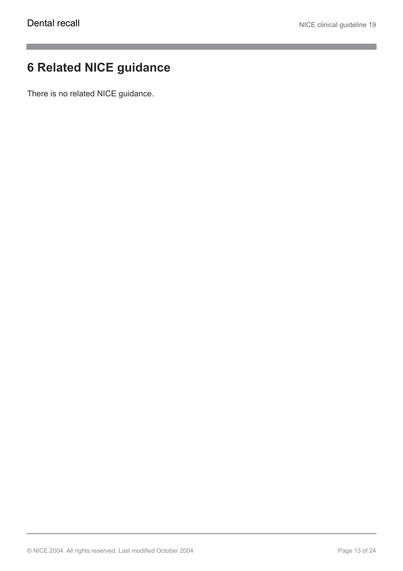$\mathbb{R}^n$ 

# <span id="page-12-0"></span>**6 Related NICE guidance**

There is no related NICE guidance.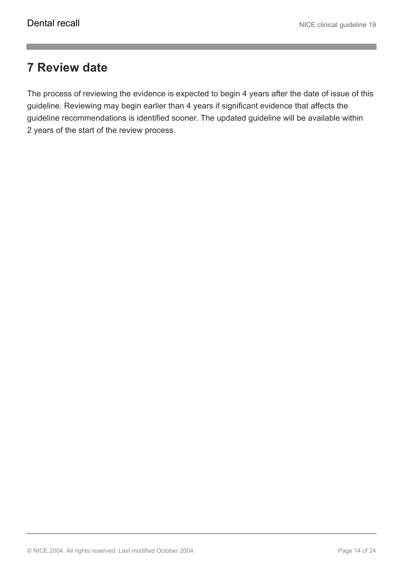### <span id="page-13-0"></span>**7 Review date**

The process of reviewing the evidence is expected to begin 4 years after the date of issue of this guideline. Reviewing may begin earlier than 4 years if significant evidence that affects the guideline recommendations is identified sooner. The updated guideline will be available within 2 years of the start of the review process.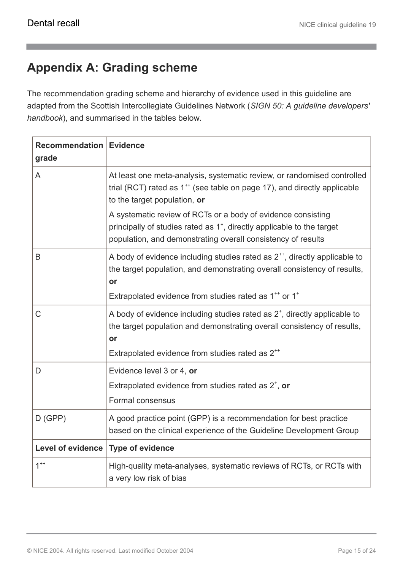### <span id="page-14-0"></span>**Appendix A: Grading scheme**

The recommendation grading scheme and hierarchy of evidence used in this guideline are adapted from the Scottish Intercollegiate Guidelines Network (*SIGN 50: A guideline developers' handbook*), and summarised in the tables below.

| <b>Recommendation Evidence</b><br>grade |                                                                                                                                                                                                                                                                 |
|-----------------------------------------|-----------------------------------------------------------------------------------------------------------------------------------------------------------------------------------------------------------------------------------------------------------------|
| A                                       | At least one meta-analysis, systematic review, or randomised controlled<br>trial (RCT) rated as 1 <sup>++</sup> (see table on page 17), and directly applicable<br>to the target population, or<br>A systematic review of RCTs or a body of evidence consisting |
|                                         | principally of studies rated as 1 <sup>+</sup> , directly applicable to the target<br>population, and demonstrating overall consistency of results                                                                                                              |
| B                                       | A body of evidence including studies rated as $2^{+*}$ , directly applicable to<br>the target population, and demonstrating overall consistency of results,<br>or                                                                                               |
|                                         | Extrapolated evidence from studies rated as 1 <sup>++</sup> or 1 <sup>+</sup>                                                                                                                                                                                   |
| $\mathsf C$                             | A body of evidence including studies rated as $2^+$ , directly applicable to<br>the target population and demonstrating overall consistency of results,<br>or                                                                                                   |
|                                         | Extrapolated evidence from studies rated as 2 <sup>++</sup>                                                                                                                                                                                                     |
| D                                       | Evidence level 3 or 4, or                                                                                                                                                                                                                                       |
|                                         | Extrapolated evidence from studies rated as $2^*$ , or<br>Formal consensus                                                                                                                                                                                      |
| $D$ (GPP)                               | A good practice point (GPP) is a recommendation for best practice<br>based on the clinical experience of the Guideline Development Group                                                                                                                        |
| Level of evidence                       | <b>Type of evidence</b>                                                                                                                                                                                                                                         |
| $1^{++}$                                | High-quality meta-analyses, systematic reviews of RCTs, or RCTs with<br>a very low risk of bias                                                                                                                                                                 |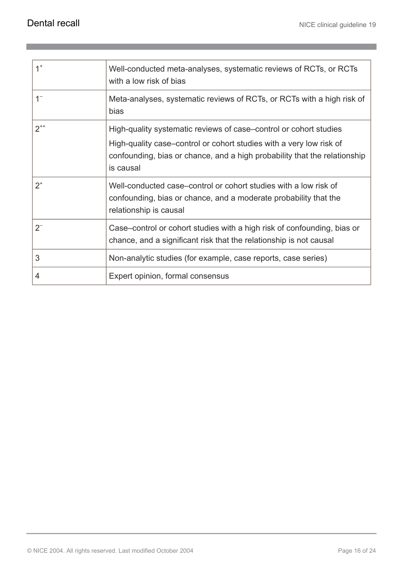a a

| $1^+$    | Well-conducted meta-analyses, systematic reviews of RCTs, or RCTs<br>with a low risk of bias |
|----------|----------------------------------------------------------------------------------------------|
| $1-$     | Meta-analyses, systematic reviews of RCTs, or RCTs with a high risk of<br>bias               |
| $2^{++}$ | High-quality systematic reviews of case–control or cohort studies                            |
|          | High-quality case–control or cohort studies with a very low risk of                          |
|          | confounding, bias or chance, and a high probability that the relationship                    |
|          | is causal                                                                                    |
| $2^+$    | Well-conducted case-control or cohort studies with a low risk of                             |
|          | confounding, bias or chance, and a moderate probability that the                             |
|          | relationship is causal                                                                       |
| $2^{-}$  | Case–control or cohort studies with a high risk of confounding, bias or                      |
|          | chance, and a significant risk that the relationship is not causal                           |
| 3        | Non-analytic studies (for example, case reports, case series)                                |
| 4        | Expert opinion, formal consensus                                                             |
|          |                                                                                              |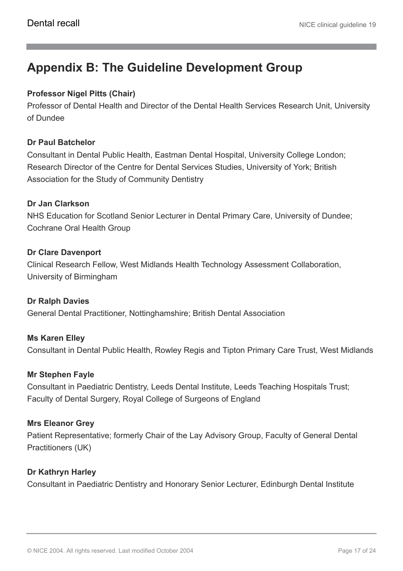### <span id="page-16-0"></span>**Appendix B: The Guideline Development Group**

#### **Professor Nigel Pitts (Chair)**

Professor of Dental Health and Director of the Dental Health Services Research Unit, University of Dundee

#### **Dr Paul Batchelor**

Consultant in Dental Public Health, Eastman Dental Hospital, University College London; Research Director of the Centre for Dental Services Studies, University of York; British Association for the Study of Community Dentistry

#### **Dr Jan Clarkson**

NHS Education for Scotland Senior Lecturer in Dental Primary Care, University of Dundee; Cochrane Oral Health Group

#### **Dr Clare Davenport**

Clinical Research Fellow, West Midlands Health Technology Assessment Collaboration, University of Birmingham

#### **Dr Ralph Davies**

General Dental Practitioner, Nottinghamshire; British Dental Association

#### **Ms Karen Elley**

Consultant in Dental Public Health, Rowley Regis and Tipton Primary Care Trust, West Midlands

#### **Mr Stephen Fayle**

Consultant in Paediatric Dentistry, Leeds Dental Institute, Leeds Teaching Hospitals Trust; Faculty of Dental Surgery, Royal College of Surgeons of England

#### **Mrs Eleanor Grey**

Patient Representative; formerly Chair of the Lay Advisory Group, Faculty of General Dental Practitioners (UK)

#### **Dr Kathryn Harley**

Consultant in Paediatric Dentistry and Honorary Senior Lecturer, Edinburgh Dental Institute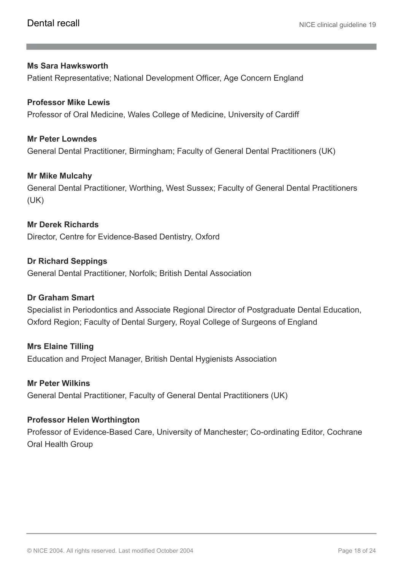#### **Ms Sara Hawksworth**

Patient Representative; National Development Officer, Age Concern England

#### **Professor Mike Lewis**

Professor of Oral Medicine, Wales College of Medicine, University of Cardiff

#### **Mr Peter Lowndes**

General Dental Practitioner, Birmingham; Faculty of General Dental Practitioners (UK)

#### **Mr Mike Mulcahy**

General Dental Practitioner, Worthing, West Sussex; Faculty of General Dental Practitioners (UK)

#### **Mr Derek Richards**

Director, Centre for Evidence-Based Dentistry, Oxford

#### **Dr Richard Seppings**

General Dental Practitioner, Norfolk; British Dental Association

#### **Dr Graham Smart**

Specialist in Periodontics and Associate Regional Director of Postgraduate Dental Education, Oxford Region; Faculty of Dental Surgery, Royal College of Surgeons of England

#### **Mrs Elaine Tilling**

Education and Project Manager, British Dental Hygienists Association

#### **Mr Peter Wilkins**

General Dental Practitioner, Faculty of General Dental Practitioners (UK)

#### **Professor Helen Worthington**

Professor of Evidence-Based Care, University of Manchester; Co-ordinating Editor, Cochrane Oral Health Group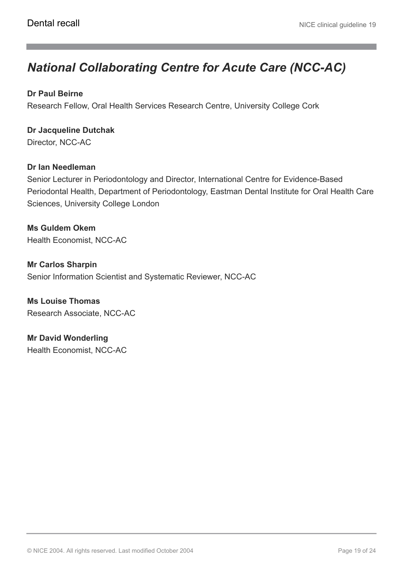## <span id="page-18-0"></span>*National Collaborating Centre for Acute Care (NCC-AC)*

#### **Dr Paul Beirne**

Research Fellow, Oral Health Services Research Centre, University College Cork

**Dr Jacqueline Dutchak** Director, NCC-AC

#### **Dr Ian Needleman**

Senior Lecturer in Periodontology and Director, International Centre for Evidence-Based Periodontal Health, Department of Periodontology, Eastman Dental Institute for Oral Health Care Sciences, University College London

**Ms Guldem Okem** Health Economist, NCC-AC

**Mr Carlos Sharpin** Senior Information Scientist and Systematic Reviewer, NCC-AC

**Ms Louise Thomas** Research Associate, NCC-AC

**Mr David Wonderling** Health Economist, NCC-AC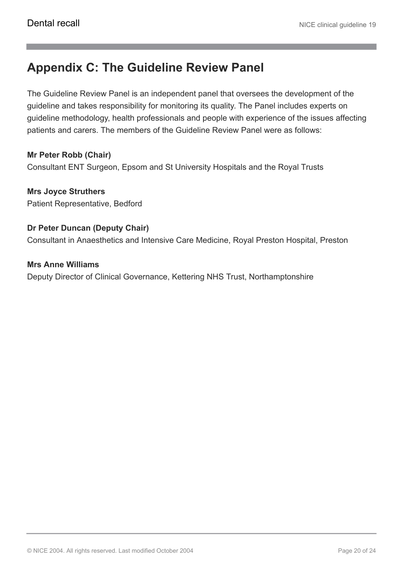### <span id="page-19-0"></span>**Appendix C: The Guideline Review Panel**

The Guideline Review Panel is an independent panel that oversees the development of the guideline and takes responsibility for monitoring its quality. The Panel includes experts on guideline methodology, health professionals and people with experience of the issues affecting patients and carers. The members of the Guideline Review Panel were as follows:

**Mr Peter Robb (Chair)** Consultant ENT Surgeon, Epsom and St University Hospitals and the Royal Trusts

**Mrs Joyce Struthers** Patient Representative, Bedford

**Dr Peter Duncan (Deputy Chair)** Consultant in Anaesthetics and Intensive Care Medicine, Royal Preston Hospital, Preston

**Mrs Anne Williams** Deputy Director of Clinical Governance, Kettering NHS Trust, Northamptonshire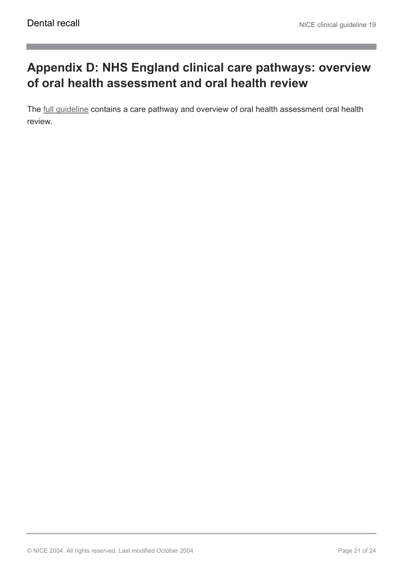## <span id="page-20-0"></span>**Appendix D: NHS England clinical care pathways: overview of oral health assessment and oral health review**

The [full guideline](http://guidance.nice.org.uk/CG19/Guidance/pdf/English) contains a care pathway and overview of oral health assessment oral health review.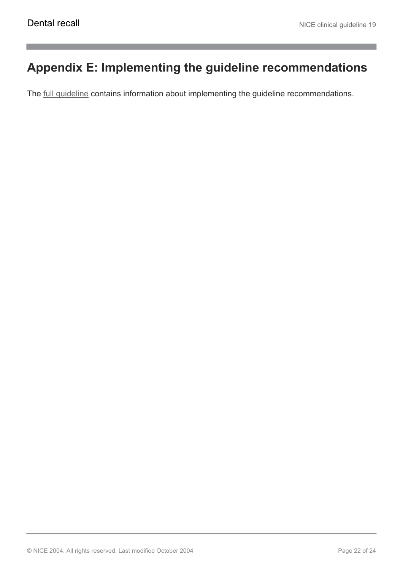### <span id="page-21-0"></span>**Appendix E: Implementing the guideline recommendations**

The [full guideline](http://guidance.nice.org.uk/CG19/Guidance/pdf/English) contains information about implementing the guideline recommendations.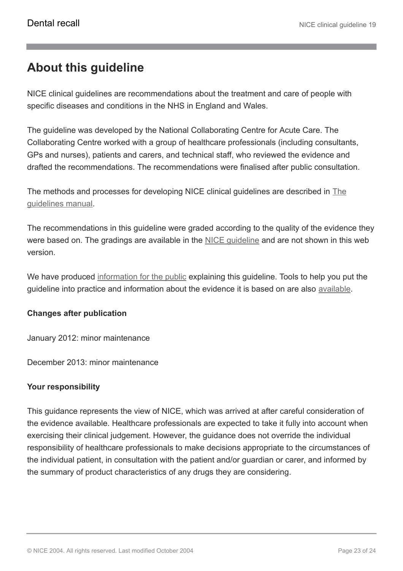### <span id="page-22-0"></span>**About this guideline**

NICE clinical guidelines are recommendations about the treatment and care of people with specific diseases and conditions in the NHS in England and Wales.

The guideline was developed by the National Collaborating Centre for Acute Care. The Collaborating Centre worked with a group of healthcare professionals (including consultants, GPs and nurses), patients and carers, and technical staff, who reviewed the evidence and drafted the recommendations. The recommendations were finalised after public consultation.

The methods and processes for developing NICE clinical guidelines are described in [The](http://www.nice.org.uk/aboutnice/howwework/developingniceclinicalguidelines/clinicalguidelinedevelopmentmethods/clinical_guideline_development_methods.jsp) [guidelines manual.](http://www.nice.org.uk/aboutnice/howwework/developingniceclinicalguidelines/clinicalguidelinedevelopmentmethods/clinical_guideline_development_methods.jsp)

The recommendations in this guideline were graded according to the quality of the evidence they were based on. The gradings are available in the [NICE guideline](http://guidance.nice.org.uk/CG19/Guidance/pdf/English) and are not shown in this web version.

We have produced [information for the public](http://publications.nice.org.uk/ifp19) explaining this guideline. Tools to help you put the guideline into practice and information about the evidence it is based on are also [available.](http://guidance.nice.org.uk/CG19)

#### **Changes after publication**

January 2012: minor maintenance

December 2013: minor maintenance

#### **Your responsibility**

This guidance represents the view of NICE, which was arrived at after careful consideration of the evidence available. Healthcare professionals are expected to take it fully into account when exercising their clinical judgement. However, the guidance does not override the individual responsibility of healthcare professionals to make decisions appropriate to the circumstances of the individual patient, in consultation with the patient and/or guardian or carer, and informed by the summary of product characteristics of any drugs they are considering.